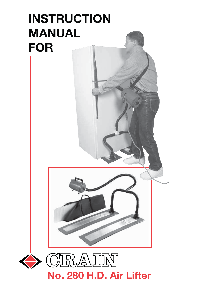

**No. 280 H.D. Air Lifter**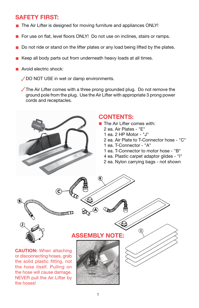# **SAFETY FIRST:**

- The Air Lifter is designed for moving furniture and appliances ONLY!
- **F** For use on flat, level floors ONLY! Do not use on inclines, stairs or ramps.
- Do not ride or stand on the lifter plates or any load being lifted by the plates.
- Keep all body parts out from underneath heavy loads at all times.
- **Avoid electric shock:** 
	- DO NOT USE in wet or damp environments.

The Air Lifter comes with a three prong grounded plug. Do not remove the ground pole from the plug. Use the Air Lifter with appropriate 3 prong power cords and receptacles.

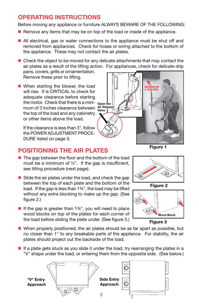# **OPERATING INSTRUCTIONS**

Before moving any appliance or furniture ALWAYS BEWARE OF THE FOLLOWING:

- Remove any items that may be on top of the load or inside of the appliance.
- All electrical, gas or water connections to the appliance must be shut off and removed from appliances. Check for hoses or wiring attached to the bottom of the appliance. These may not contact the air plates.

 $\blacksquare$  Check the object to be moved for any delicate attachments that may contact the air plates as a result of the lifting action. For appliances, check for delicate drip

pans, covers, grills or ornamentation. Remove these prior to lifting.

■ When starting the blower, the load will rise. It is CRITICAL to check for adequate clearance before starting the motor. Check that there is a mini- <sub>Open the</sub> mum of 3 inches clearance between **Air Release**  the top of the load and any cabinetry or other items above the load.

 If the clearance is less than 3", follow the POWER ADJUSTMENT PROCE-DURE listed on page 3.



# **POSITIONING THE AIR PLATES**

- $\blacksquare$  The gap between the floor and the bottom of the load must be a minimum of  $\frac{1}{2}$ ". If the gap is insufficient, see tilting procedure (next page).
- $\blacksquare$  Slide the air plates under the load, and check the gap between the top of each plate and the bottom of the load. If the gap is less than 1¾", the load may be lifted without any extra blocking to make up the gap. (See figure 2.)
- If the gap is greater than  $1\frac{3}{4}$ , you will need to place wood blocks on top of the plates for each corner of the load before sliding the plate under. (See figure 3.)





**Figure 2**





- When properly positioned, the air plates should be as far apart as possible, but no closer than 1" to any breakable parts of the appliance. For stability, the air plates should project out the backside of the load.
- If a plate gets stuck as you slide it under the load, try rearranging the plates in a "V" shape under the load, or entering them from the opposite side. (See below.)

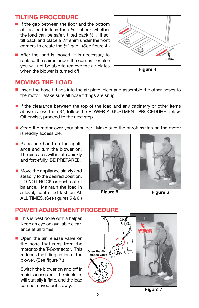## **TILTING PROCEDURE**

- $\blacksquare$  If the gap between the floor and the bottom of the load is less than ½", check whether the load can be safely tilted back ½". If so, tilt back and place a ½" shim under the front corners to create the ½" gap. (See figure 4.)
- After the load is moved, it is necessary to replace the shims under the corners, or else you will not be able to remove the air plates when the blower is turned off.

# **Shim**

**Figure 4**

#### **MOVING THE LOAD**

- Insert the hose fittings into the air plate inlets and assemble the other hoses to the motor. Make sure all hose fittings are snug.
- If the clearance between the top of the load and any cabinetry or other items above is less than 3", follow the POWER ADJUSTMENT PROCEDURE below. Otherwise, proceed to the next step.
- Strap the motor over your shoulder. Make sure the on/off switch on the motor is readily accessible.
- **Place one hand on the appli**ance and turn the blower on. The air plates will inflate quickly and forcefully. BE PREPARED!
- **Move the appliance slowly and** steadily to the desired position. DO NOT ROCK or push out of balance. Maintain the load in a level, controlled fashion AT ALL TIMES. (See figures 5 & 6.)



**Figure 5 Figure 6**



# **POWER ADJUSTMENT PROCEDURE**

- $\blacksquare$  This is best done with a helper. Keep an eye on available clearance at all times.
- Open the air release valve on the hose that runs from the motor to the T-Connector. This reduces the lifting action of the blower. (See figure 7.)

 Switch the blower on and off in rapid succession. The air plates will partially inflate, and the load

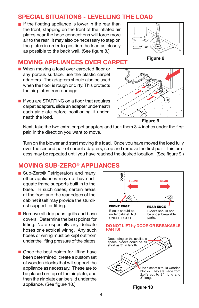### **SPECIAL SITUATIONS - LEVELLING THE LOAD**

If the floating appliance is lower in the rear than the front, stepping on the front of the inflated air plates near the hose connections will force more air to the rear. It may also be necessary to step on the plates in order to position the load as closely as possible to the back wall. (See figure 8.)



**Figure 8**

#### **MOVING APPLIANCES OVER CARPET**

- When moving a load over carpeted floor or any porous surface, use the plastic carpet adapters. The adapters should also be used when the floor is rough or dirty. This protects the air plates from damage.
- If you are STARTING on a floor that requires carpet adapters, slide an adapter underneath each air plate before positioning it underneath the load.



Next, take the two extra carpet adapters and tuck them 3-4 inches under the first pair, in the direction you want to move.

Turn on the blower and start moving the load. Once you have moved the load fully over the second pair of carpet adapters, stop and remove the first pair. This process may be repeated until you have reached the desired location. (See figure 9.)

#### **MOVING SUB-ZERO® APPLIANCES**

- Sub-Zero<sup>®</sup> Refrigerators and many other appliances may not have adequate frame supports built in to the base. In such cases, certain areas at the front and the rear edges of the cabinet itself may provide the sturdiest support for lifting.
- $\blacksquare$  Remove all drip pans, grills and base covers. Determine the best points for lifting. Note especially any delicate hoses or electrical wiring. Any such hoses or wiring must be kept out from under the lifting pressure of the plates.
- Once the best points for lifting have been determined, create a custom set of wooden blocks that will support the appliance as necessary. These are to be placed on top of the air plate, and then the air plate can be slid under the appliance. (See figure 10.)



**Figure 10**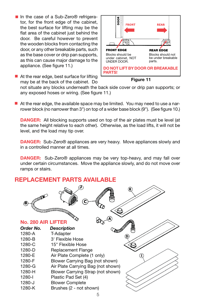■ In the case of a Sub-Zero<sup>®</sup> refrigerator, for the front edge of the cabinet, the best surface for lifting may be the flat area of the cabinet just behind the door. Be careful however to prevent the wooden blocks from contacting the door, or any other breakable parts, such as the base cover or drip pan supports, as this can cause major damage to the appliance. (See figure 11.)

■ At the rear edge, best surface for lifting may be at the back of the cabinet. Do



**Figure 11**

not situate any blocks underneath the back side cover or drip pan supports; or any exposed hoses or wiring. (See figure 11.)

At the rear edge, the available space may be limited. You may need to use a narrower block (no narrower than 3") on top of a wider base block (9"). (See figure 10.)

**DANGER:** All blocking supports used on top of the air plates must be level (at the same height relative to each other). Otherwise, as the load lifts, it will not be level, and the load may tip over.

**DANGER:** Sub-Zero® appliances are very heavy. Move appliances slowly and in a controlled manner at all times.

**DANGER:** Sub-Zero® appliances may be very top-heavy, and may fall over under certain circumstances. Move the appliance slowly, and do not move over ramps or stairs.

### **REPLACEMENT PARTS AVAILABLE**

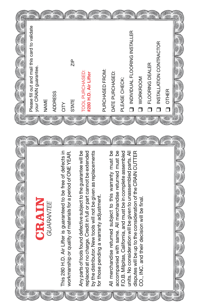

K.

m.

A.

an

ana.

 $\frac{1}{2}$ 

A.

A)